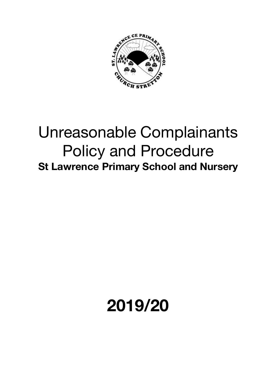

## Unreasonable Complainants Policy and Procedure **St Lawrence Primary School and Nursery**

## **2019/20**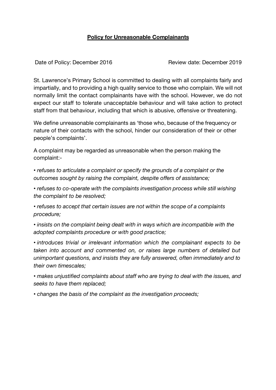## **Policy for Unreasonable Complainants**

Date of Policy: December 2016 Review date: December 2019

St. Lawrence's Primary School is committed to dealing with all complaints fairly and impartially, and to providing a high quality service to those who complain. We will not normally limit the contact complainants have with the school. However, we do not expect our staff to tolerate unacceptable behaviour and will take action to protect staff from that behaviour, including that which is abusive, offensive or threatening.

We define unreasonable complainants as 'those who, because of the frequency or nature of their contacts with the school, hinder our consideration of their or other people's complaints'.

A complaint may be regarded as unreasonable when the person making the complaint:-

*• refuses to articulate a complaint or specify the grounds of a complaint or the outcomes sought by raising the complaint, despite offers of assistance;*

*• refuses to co-operate with the complaints investigation process while still wishing the complaint to be resolved;*

*• refuses to accept that certain issues are not within the scope of a complaints procedure;*

*• insists on the complaint being dealt with in ways which are incompatible with the adopted complaints procedure or with good practice;*

*• introduces trivial or irrelevant information which the complainant expects to be taken into account and commented on, or raises large numbers of detailed but unimportant questions, and insists they are fully answered, often immediately and to their own timescales;*

*• makes unjustified complaints about staff who are trying to deal with the issues, and seeks to have them replaced;*

*• changes the basis of the complaint as the investigation proceeds;*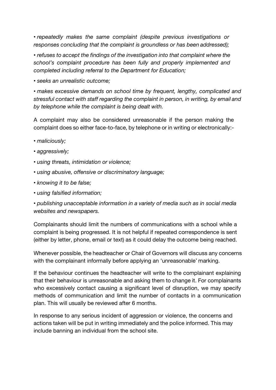*• repeatedly makes the same complaint (despite previous investigations or responses concluding that the complaint is groundless or has been addressed);*

*• refuses to accept the findings of the investigation into that complaint where the school's complaint procedure has been fully and properly implemented and completed including referral to the Department for Education;*

*• seeks an unrealistic outcome;*

*• makes excessive demands on school time by frequent, lengthy, complicated and stressful contact with staff regarding the complaint in person, in writing, by email and by telephone while the complaint is being dealt with.*

A complaint may also be considered unreasonable if the person making the complaint does so either face-to-face, by telephone or in writing or electronically:-

- *• maliciously;*
- *• aggressively;*
- *• using threats, intimidation or violence;*
- *• using abusive, offensive or discriminatory language;*
- *• knowing it to be false;*
- *• using falsified information;*

*• publishing unacceptable information in a variety of media such as in social media websites and newspapers.*

Complainants should limit the numbers of communications with a school while a complaint is being progressed. It is not helpful if repeated correspondence is sent (either by letter, phone, email or text) as it could delay the outcome being reached.

Whenever possible, the headteacher or Chair of Governors will discuss any concerns with the complainant informally before applying an 'unreasonable' marking.

If the behaviour continues the headteacher will write to the complainant explaining that their behaviour is unreasonable and asking them to change it. For complainants who excessively contact causing a significant level of disruption, we may specify methods of communication and limit the number of contacts in a communication plan. This will usually be reviewed after 6 months.

In response to any serious incident of aggression or violence, the concerns and actions taken will be put in writing immediately and the police informed. This may include banning an individual from the school site.